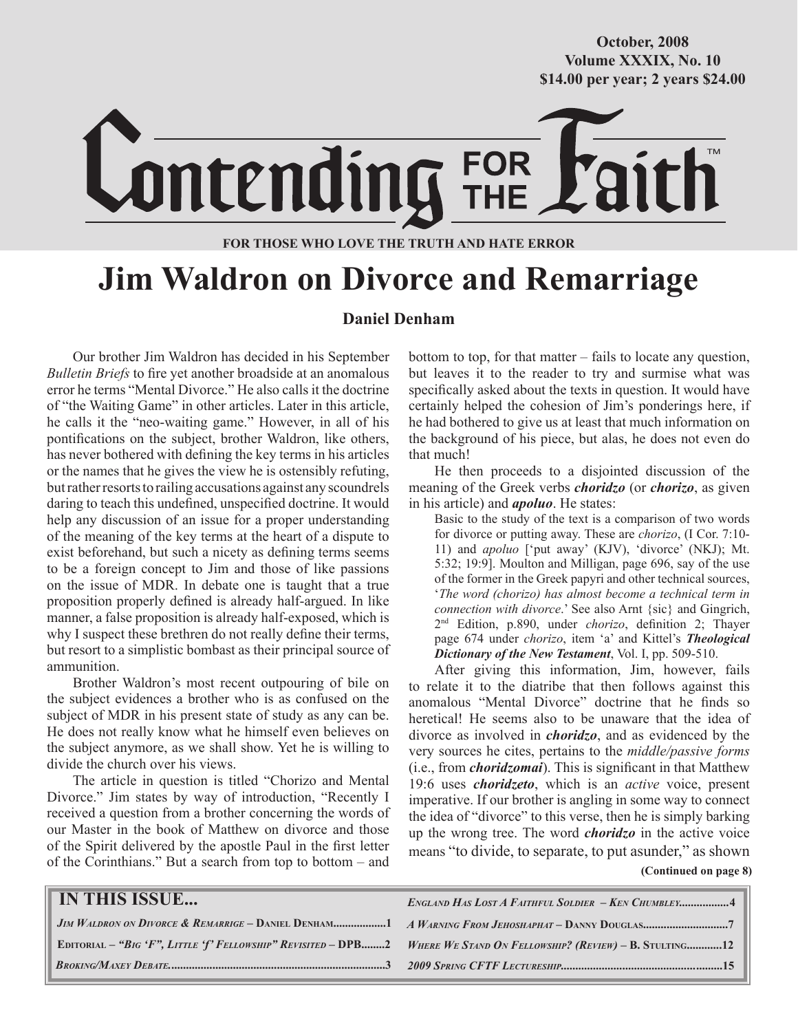#### **October/2007 Volume XXXIX, No. 10 Volume XXXVIII, No. 10 \$14.00 per year; 2 years \$24.00 \$14.00 per year; 2 years \$24.00 October, 2008**



#### **FOR THOSE WHO LOVE THE TRUTH AND HATE ERROR**

# **Jim Waldron on Divorce and Remarriage**

#### **Daniel Denham**

Our brother Jim Waldron has decided in his September *Bulletin Briefs* to fire yet another broadside at an anomalous error he terms "Mental Divorce." He also calls it the doctrine of "the Waiting Game" in other articles. Later in this article, he calls it the "neo-waiting game." However, in all of his pontifications on the subject, brother Waldron, like others, has never bothered with defining the key terms in his articles or the names that he gives the view he is ostensibly refuting, but rather resorts to railing accusations against any scoundrels daring to teach this undefined, unspecified doctrine. It would help any discussion of an issue for a proper understanding of the meaning of the key terms at the heart of a dispute to exist beforehand, but such a nicety as defining terms seems to be a foreign concept to Jim and those of like passions on the issue of MDR. In debate one is taught that a true proposition properly defined is already half-argued. In like manner, a false proposition is already half-exposed, which is why I suspect these brethren do not really define their terms, but resort to a simplistic bombast as their principal source of ammunition.

Brother Waldron's most recent outpouring of bile on the subject evidences a brother who is as confused on the subject of MDR in his present state of study as any can be. He does not really know what he himself even believes on the subject anymore, as we shall show. Yet he is willing to divide the church over his views.

The article in question is titled "Chorizo and Mental Divorce." Jim states by way of introduction, "Recently I received a question from a brother concerning the words of our Master in the book of Matthew on divorce and those of the Spirit delivered by the apostle Paul in the first letter of the Corinthians." But a search from top to bottom – and

bottom to top, for that matter – fails to locate any question, but leaves it to the reader to try and surmise what was specifically asked about the texts in question. It would have certainly helped the cohesion of Jim's ponderings here, if he had bothered to give us at least that much information on the background of his piece, but alas, he does not even do that much!

He then proceeds to a disjointed discussion of the meaning of the Greek verbs *choridzo* (or *chorizo*, as given in his article) and *apoluo*. He states:

Basic to the study of the text is a comparison of two words for divorce or putting away. These are *chorizo*, (I Cor. 7:10- 11) and *apoluo* ['put away' (KJV), 'divorce' (NKJ); Mt. 5:32; 19:9]. Moulton and Milligan, page 696, say of the use of the former in the Greek papyri and other technical sources, '*The word (chorizo) has almost become a technical term in connection with divorce*.' See also Arnt {sic} and Gingrich, 2nd Edition, p.890, under *chorizo*, definition 2; Thayer page 674 under *chorizo*, item 'a' and Kittel's *Theological Dictionary of the New Testament*, Vol. I, pp. 509-510.

After giving this information, Jim, however, fails to relate it to the diatribe that then follows against this anomalous "Mental Divorce" doctrine that he finds so heretical! He seems also to be unaware that the idea of divorce as involved in *choridzo*, and as evidenced by the very sources he cites, pertains to the *middle/passive forms* (i.e., from *choridzomai*). This is significant in that Matthew 19:6 uses *choridzeto*, which is an *active* voice, present imperative. If our brother is angling in some way to connect the idea of "divorce" to this verse, then he is simply barking up the wrong tree. The word *choridzo* in the active voice means "to divide, to separate, to put asunder," as shown

**(Continued on page 8)**

| IN THIS ISSUE | <b>ENGLAND HAS LOST A FAITHFUL SOLDIER - KEN CHUMBLEY4</b>                                                           |
|---------------|----------------------------------------------------------------------------------------------------------------------|
|               |                                                                                                                      |
|               | EDITORIAL - "BIG 'F", LITTLE 'f' FELLOWSHIP" REVISITED - DPB2 WHERE WE STAND ON FELLOWSHIP? (REVIEW) - B. STULTING12 |
|               |                                                                                                                      |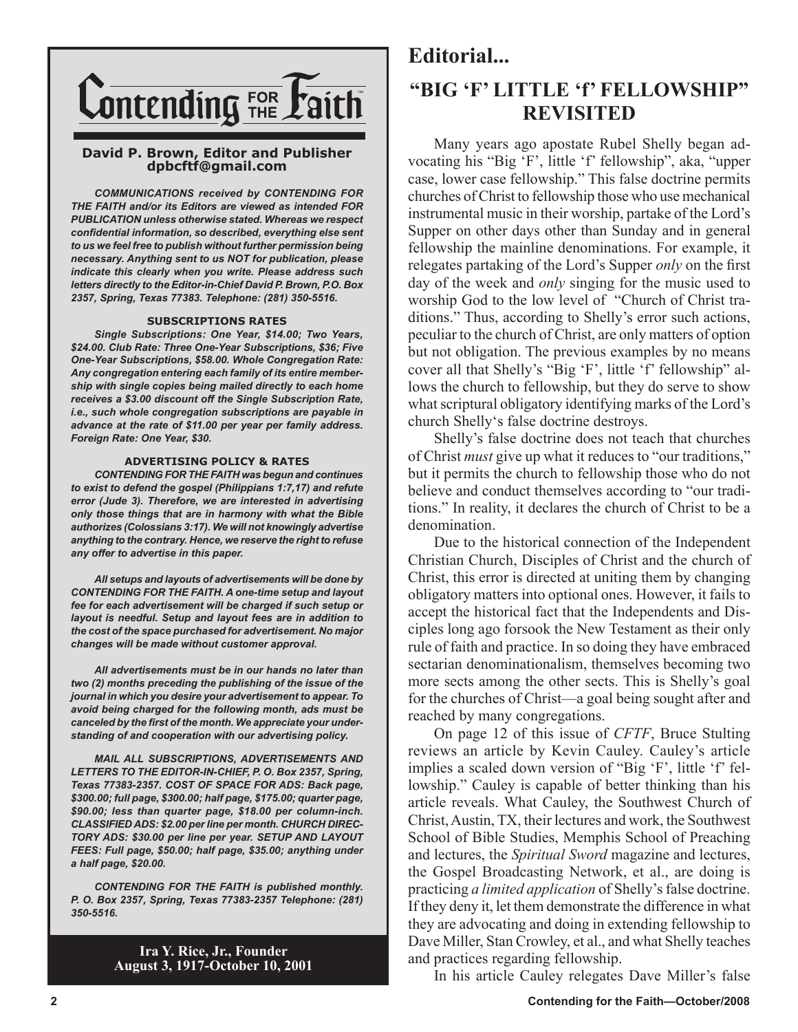

#### **David P. Brown, Editor and Publisher dpbcftf@gmail.com**

*COMMUNICATIONS received by CONTENDING FOR THE FAITH and/or its Editors are viewed as intended FOR PUBLICATION unless otherwise stated. Whereas we respect confidential information, so described, everything else sent to us we feel free to publish without further permission being necessary. Anything sent to us NOT for publication, please indicate this clearly when you write. Please address such letters directly to the Editor-in-Chief David P. Brown, P.O. Box 2357, Spring, Texas 77383. Telephone: (281) 350-5516.*

#### **SUBSCRIPTIONS RATES**

*Single Subscriptions: One Year, \$14.00; Two Years, \$24.00. Club Rate: Three One-Year Subscriptions, \$36; Five One-Year Subscriptions, \$58.00. Whole Congregation Rate: Any congregation entering each family of its entire membership with single copies being mailed directly to each home receives a \$3.00 discount off the Single Subscription Rate, i.e., such whole congregation subscriptions are payable in advance at the rate of \$11.00 per year per family address. Foreign Rate: One Year, \$30.*

#### **ADVERTISING POLICY & RATES**

*CONTENDING FOR THE FAITH was begun and continues to exist to defend the gospel (Philippians 1:7,17) and refute error (Jude 3). Therefore, we are interested in advertising only those things that are in harmony with what the Bible authorizes (Colossians 3:17). We will not knowingly advertise anything to the contrary. Hence, we reserve the right to refuse any offer to advertise in this paper.*

*All setups and layouts of advertisements will be done by CONTENDING FOR THE FAITH. A one-time setup and layout fee for each advertisement will be charged if such setup or layout is needful. Setup and layout fees are in addition to the cost of the space purchased for advertisement. No major changes will be made without customer approval.*

*All advertisements must be in our hands no later than two (2) months preceding the publishing of the issue of the journal in which you desire your advertisement to appear. To avoid being charged for the following month, ads must be canceled by the first of the month. We appreciate your understanding of and cooperation with our advertising policy.*

*MAIL ALL SUBSCRIPTIONS, ADVERTISEMENTS AND LETTERS TO THE EDITOR-IN-CHIEF, P. O. Box 2357, Spring, Texas 77383-2357. COST OF SPACE FOR ADS: Back page, \$300.00; full page, \$300.00; half page, \$175.00; quarter page, \$90.00; less than quarter page, \$18.00 per column-inch. CLASSIFIED ADS: \$2.00 per line per month. CHURCH DIREC-TORY ADS: \$30.00 per line per year. SETUP AND LAYOUT FEES: Full page, \$50.00; half page, \$35.00; anything under a half page, \$20.00.*

*CONTENDING FOR THE FAITH is published monthly. P. O. Box 2357, Spring, Texas 77383-2357 Telephone: (281) 350-5516.*

> **Ira Y. Rice, Jr., Founder August 3, 1917-October 10, 2001**

## **Editorial... "BIG 'F' LITTLE 'f' FELLOWSHIP" REVISITED**

Many years ago apostate Rubel Shelly began advocating his "Big 'F', little 'f' fellowship", aka, "upper case, lower case fellowship." This false doctrine permits churches of Christ to fellowship those who use mechanical instrumental music in their worship, partake of the Lord's Supper on other days other than Sunday and in general fellowship the mainline denominations. For example, it relegates partaking of the Lord's Supper *only* on the first day of the week and *only* singing for the music used to worship God to the low level of "Church of Christ traditions." Thus, according to Shelly's error such actions, peculiar to the church of Christ, are only matters of option but not obligation. The previous examples by no means cover all that Shelly's "Big 'F', little 'f' fellowship" allows the church to fellowship, but they do serve to show what scriptural obligatory identifying marks of the Lord's church Shelly's false doctrine destroys.

Shelly's false doctrine does not teach that churches of Christ *must* give up what it reduces to "our traditions," but it permits the church to fellowship those who do not believe and conduct themselves according to "our traditions." In reality, it declares the church of Christ to be a denomination.

Due to the historical connection of the Independent Christian Church, Disciples of Christ and the church of Christ, this error is directed at uniting them by changing obligatory matters into optional ones. However, it fails to accept the historical fact that the Independents and Disciples long ago forsook the New Testament as their only rule of faith and practice. In so doing they have embraced sectarian denominationalism, themselves becoming two more sects among the other sects. This is Shelly's goal for the churches of Christ—a goal being sought after and reached by many congregations.

On page 12 of this issue of *CFTF*, Bruce Stulting reviews an article by Kevin Cauley. Cauley's article implies a scaled down version of "Big 'F', little 'f' fellowship." Cauley is capable of better thinking than his article reveals. What Cauley, the Southwest Church of Christ, Austin, TX, their lectures and work, the Southwest School of Bible Studies, Memphis School of Preaching and lectures, the *Spiritual Sword* magazine and lectures, the Gospel Broadcasting Network, et al., are doing is practicing *a limited application* of Shelly's false doctrine. If they deny it, let them demonstrate the difference in what they are advocating and doing in extending fellowship to Dave Miller, Stan Crowley, et al., and what Shelly teaches and practices regarding fellowship.

In his article Cauley relegates Dave Miller's false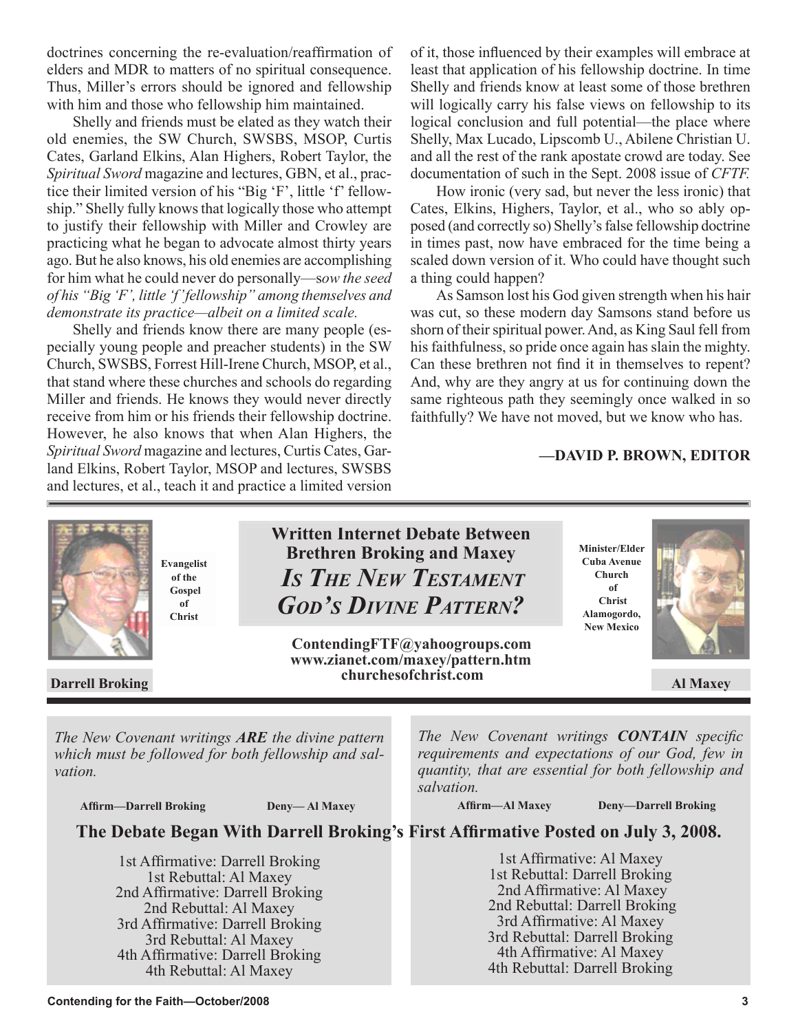doctrines concerning the re-evaluation/reaffirmation of elders and MDR to matters of no spiritual consequence. Thus, Miller's errors should be ignored and fellowship with him and those who fellowship him maintained.

Shelly and friends must be elated as they watch their old enemies, the SW Church, SWSBS, MSOP, Curtis Cates, Garland Elkins, Alan Highers, Robert Taylor, the *Spiritual Sword* magazine and lectures, GBN, et al., practice their limited version of his "Big 'F', little 'f' fellowship." Shelly fully knows that logically those who attempt to justify their fellowship with Miller and Crowley are practicing what he began to advocate almost thirty years ago. But he also knows, his old enemies are accomplishing for him what he could never do personally—s*ow the seed of his "Big 'F', little 'f' fellowship" among themselves and demonstrate its practice—albeit on a limited scale.*

Shelly and friends know there are many people (especially young people and preacher students) in the SW Church, SWSBS, Forrest Hill-Irene Church, MSOP, et al., that stand where these churches and schools do regarding Miller and friends. He knows they would never directly receive from him or his friends their fellowship doctrine. However, he also knows that when Alan Highers, the *Spiritual Sword* magazine and lectures, Curtis Cates, Garland Elkins, Robert Taylor, MSOP and lectures, SWSBS and lectures, et al., teach it and practice a limited version of it, those influenced by their examples will embrace at least that application of his fellowship doctrine. In time Shelly and friends know at least some of those brethren will logically carry his false views on fellowship to its logical conclusion and full potential—the place where Shelly, Max Lucado, Lipscomb U., Abilene Christian U. and all the rest of the rank apostate crowd are today. See documentation of such in the Sept. 2008 issue of *CFTF.*

How ironic (very sad, but never the less ironic) that Cates, Elkins, Highers, Taylor, et al., who so ably opposed (and correctly so) Shelly's false fellowship doctrine in times past, now have embraced for the time being a scaled down version of it. Who could have thought such a thing could happen?

As Samson lost his God given strength when his hair was cut, so these modern day Samsons stand before us shorn of their spiritual power. And, as King Saul fell from his faithfulness, so pride once again has slain the mighty. Can these brethren not find it in themselves to repent? And, why are they angry at us for continuing down the same righteous path they seemingly once walked in so faithfully? We have not moved, but we know who has.

#### **—DAVID P. BROWN, EDITOR**



 **Affirm—Darrell Broking Deny— Al Maxey**

 **Affirm—Al Maxey Deny—Darrell Broking**

**The Debate Began With Darrell Broking's First Affirmative Posted on July 3, 2008.** 

*salvation.*

1st Affirmative: Darrell Broking 1st Rebuttal: Al Maxey 2nd Affirmative: Darrell Broking 2nd Rebuttal: Al Maxey 3rd Affirmative: Darrell Broking 3rd Rebuttal: Al Maxey 4th Affirmative: Darrell Broking 4th Rebuttal: Al Maxey

1st Affirmative: Al Maxey 1st Rebuttal: Darrell Broking 2nd Affirmative: Al Maxey 2nd Rebuttal: Darrell Broking 3rd Affirmative: Al Maxey 3rd Rebuttal: Darrell Broking 4th Affirmative: Al Maxey 4th Rebuttal: Darrell Broking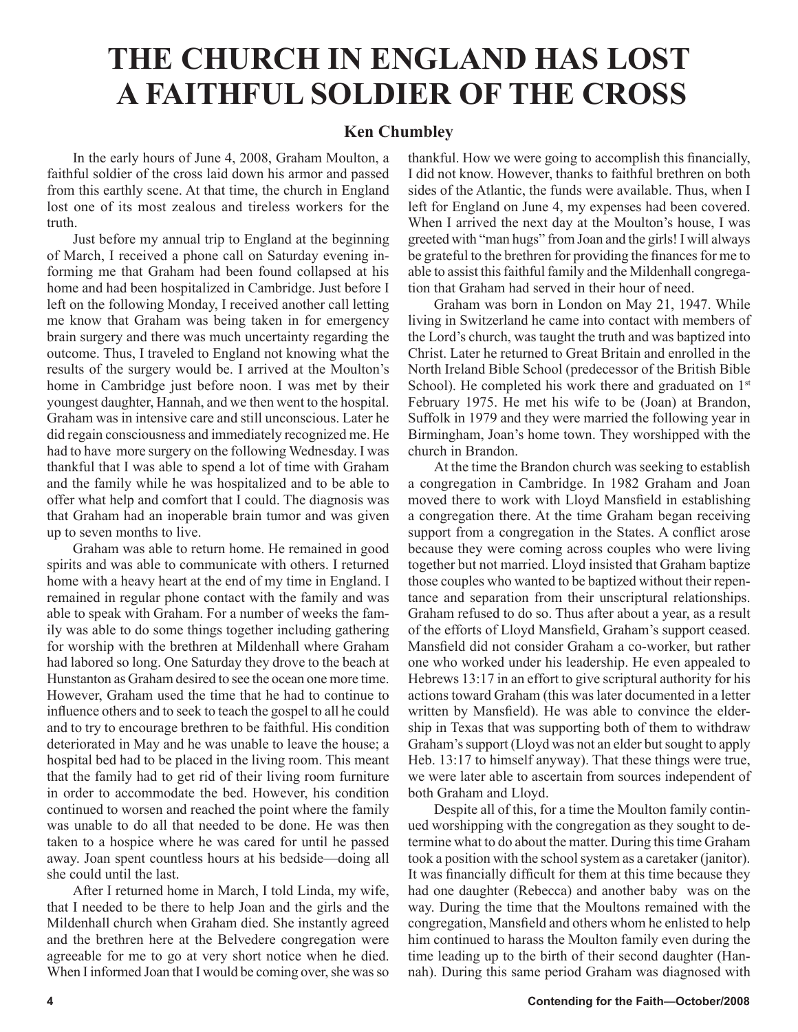# **THE CHURCH IN ENGLAND HAS LOST A FAITHFUL SOLDIER OF THE CROSS**

#### **Ken Chumbley**

In the early hours of June 4, 2008, Graham Moulton, a faithful soldier of the cross laid down his armor and passed from this earthly scene. At that time, the church in England lost one of its most zealous and tireless workers for the truth.

Just before my annual trip to England at the beginning of March, I received a phone call on Saturday evening informing me that Graham had been found collapsed at his home and had been hospitalized in Cambridge. Just before I left on the following Monday, I received another call letting me know that Graham was being taken in for emergency brain surgery and there was much uncertainty regarding the outcome. Thus, I traveled to England not knowing what the results of the surgery would be. I arrived at the Moulton's home in Cambridge just before noon. I was met by their youngest daughter, Hannah, and we then went to the hospital. Graham was in intensive care and still unconscious. Later he did regain consciousness and immediately recognized me. He had to have more surgery on the following Wednesday. I was thankful that I was able to spend a lot of time with Graham and the family while he was hospitalized and to be able to offer what help and comfort that I could. The diagnosis was that Graham had an inoperable brain tumor and was given up to seven months to live.

Graham was able to return home. He remained in good spirits and was able to communicate with others. I returned home with a heavy heart at the end of my time in England. I remained in regular phone contact with the family and was able to speak with Graham. For a number of weeks the family was able to do some things together including gathering for worship with the brethren at Mildenhall where Graham had labored so long. One Saturday they drove to the beach at Hunstanton as Graham desired to see the ocean one more time. However, Graham used the time that he had to continue to influence others and to seek to teach the gospel to all he could and to try to encourage brethren to be faithful. His condition deteriorated in May and he was unable to leave the house; a hospital bed had to be placed in the living room. This meant that the family had to get rid of their living room furniture in order to accommodate the bed. However, his condition continued to worsen and reached the point where the family was unable to do all that needed to be done. He was then taken to a hospice where he was cared for until he passed away. Joan spent countless hours at his bedside—doing all she could until the last.

After I returned home in March, I told Linda, my wife, that I needed to be there to help Joan and the girls and the Mildenhall church when Graham died. She instantly agreed and the brethren here at the Belvedere congregation were agreeable for me to go at very short notice when he died. When I informed Joan that I would be coming over, she was so

thankful. How we were going to accomplish this financially, I did not know. However, thanks to faithful brethren on both sides of the Atlantic, the funds were available. Thus, when I left for England on June 4, my expenses had been covered. When I arrived the next day at the Moulton's house, I was greeted with "man hugs" from Joan and the girls! I will always be grateful to the brethren for providing the finances for me to able to assist this faithful family and the Mildenhall congregation that Graham had served in their hour of need.

Graham was born in London on May 21, 1947. While living in Switzerland he came into contact with members of the Lord's church, was taught the truth and was baptized into Christ. Later he returned to Great Britain and enrolled in the North Ireland Bible School (predecessor of the British Bible School). He completed his work there and graduated on 1<sup>st</sup> February 1975. He met his wife to be (Joan) at Brandon, Suffolk in 1979 and they were married the following year in Birmingham, Joan's home town. They worshipped with the church in Brandon.

At the time the Brandon church was seeking to establish a congregation in Cambridge. In 1982 Graham and Joan moved there to work with Lloyd Mansfield in establishing a congregation there. At the time Graham began receiving support from a congregation in the States. A conflict arose because they were coming across couples who were living together but not married. Lloyd insisted that Graham baptize those couples who wanted to be baptized without their repentance and separation from their unscriptural relationships. Graham refused to do so. Thus after about a year, as a result of the efforts of Lloyd Mansfield, Graham's support ceased. Mansfield did not consider Graham a co-worker, but rather one who worked under his leadership. He even appealed to Hebrews 13:17 in an effort to give scriptural authority for his actions toward Graham (this was later documented in a letter written by Mansfield). He was able to convince the eldership in Texas that was supporting both of them to withdraw Graham's support (Lloyd was not an elder but sought to apply Heb. 13:17 to himself anyway). That these things were true, we were later able to ascertain from sources independent of both Graham and Lloyd.

Despite all of this, for a time the Moulton family continued worshipping with the congregation as they sought to determine what to do about the matter. During this time Graham took a position with the school system as a caretaker (janitor). It was financially difficult for them at this time because they had one daughter (Rebecca) and another baby was on the way. During the time that the Moultons remained with the congregation, Mansfield and others whom he enlisted to help him continued to harass the Moulton family even during the time leading up to the birth of their second daughter (Hannah). During this same period Graham was diagnosed with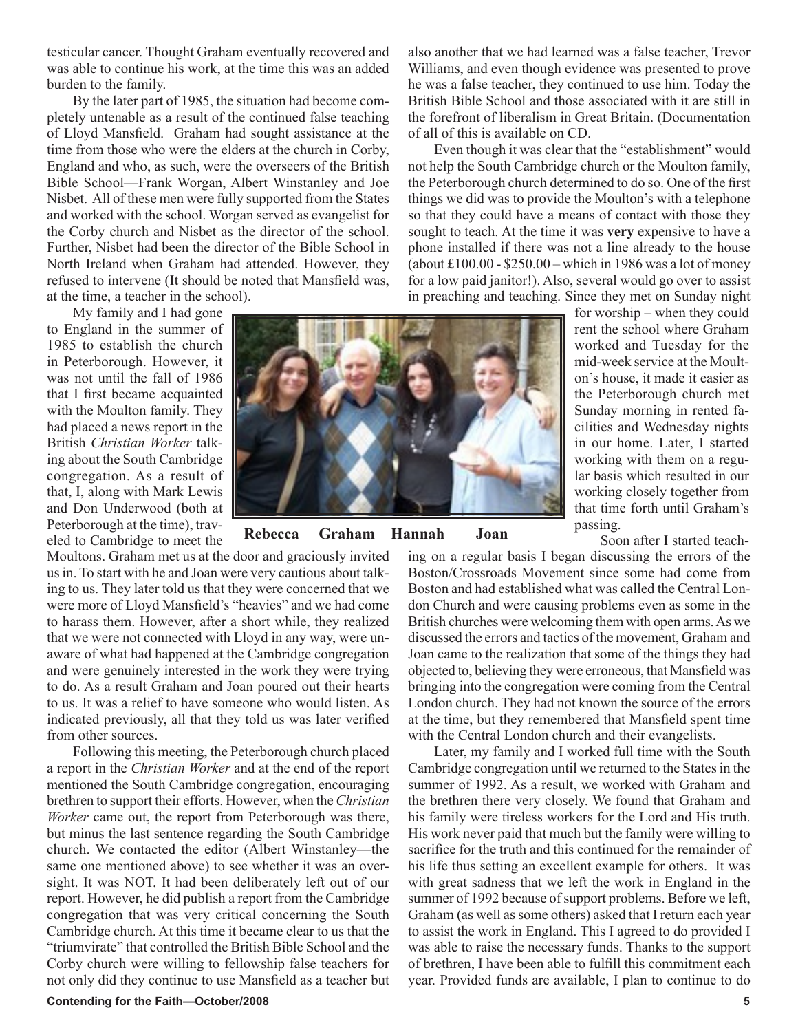testicular cancer. Thought Graham eventually recovered and was able to continue his work, at the time this was an added burden to the family.

By the later part of 1985, the situation had become completely untenable as a result of the continued false teaching of Lloyd Mansfield. Graham had sought assistance at the time from those who were the elders at the church in Corby, England and who, as such, were the overseers of the British Bible School—Frank Worgan, Albert Winstanley and Joe Nisbet. All of these men were fully supported from the States and worked with the school. Worgan served as evangelist for the Corby church and Nisbet as the director of the school. Further, Nisbet had been the director of the Bible School in North Ireland when Graham had attended. However, they refused to intervene (It should be noted that Mansfield was, at the time, a teacher in the school).

My family and I had gone

to England in the summer of 1985 to establish the church in Peterborough. However, it was not until the fall of 1986 that I first became acquainted with the Moulton family. They had placed a news report in the British *Christian Worker* talking about the South Cambridge congregation. As a result of that, I, along with Mark Lewis and Don Underwood (both at Peterborough at the time), traveled to Cambridge to meet the

Moultons. Graham met us at the door and graciously invited us in. To start with he and Joan were very cautious about talking to us. They later told us that they were concerned that we were more of Lloyd Mansfield's "heavies" and we had come to harass them. However, after a short while, they realized that we were not connected with Lloyd in any way, were unaware of what had happened at the Cambridge congregation and were genuinely interested in the work they were trying to do. As a result Graham and Joan poured out their hearts to us. It was a relief to have someone who would listen. As indicated previously, all that they told us was later verified from other sources.

Following this meeting, the Peterborough church placed a report in the *Christian Worker* and at the end of the report mentioned the South Cambridge congregation, encouraging brethren to support their efforts. However, when the *Christian Worker* came out, the report from Peterborough was there, but minus the last sentence regarding the South Cambridge church. We contacted the editor (Albert Winstanley—the same one mentioned above) to see whether it was an oversight. It was NOT. It had been deliberately left out of our report. However, he did publish a report from the Cambridge congregation that was very critical concerning the South Cambridge church. At this time it became clear to us that the "triumvirate" that controlled the British Bible School and the Corby church were willing to fellowship false teachers for not only did they continue to use Mansfield as a teacher but

**Contending for the Faith—October/2008 5**

also another that we had learned was a false teacher, Trevor Williams, and even though evidence was presented to prove he was a false teacher, they continued to use him. Today the British Bible School and those associated with it are still in the forefront of liberalism in Great Britain. (Documentation of all of this is available on CD.

Even though it was clear that the "establishment" would not help the South Cambridge church or the Moulton family, the Peterborough church determined to do so. One of the first things we did was to provide the Moulton's with a telephone so that they could have a means of contact with those they sought to teach. At the time it was **very** expensive to have a phone installed if there was not a line already to the house (about  $£100.00 - $250.00 -$  which in 1986 was a lot of money for a low paid janitor!). Also, several would go over to assist in preaching and teaching. Since they met on Sunday night



**Rebecca Graham Hannah Joan**

for worship – when they could rent the school where Graham worked and Tuesday for the mid-week service at the Moulton's house, it made it easier as the Peterborough church met Sunday morning in rented facilities and Wednesday nights in our home. Later, I started working with them on a regular basis which resulted in our working closely together from that time forth until Graham's passing.

Soon after I started teach-

ing on a regular basis I began discussing the errors of the Boston/Crossroads Movement since some had come from Boston and had established what was called the Central London Church and were causing problems even as some in the British churches were welcoming them with open arms. As we discussed the errors and tactics of the movement, Graham and Joan came to the realization that some of the things they had objected to, believing they were erroneous, that Mansfield was bringing into the congregation were coming from the Central London church. They had not known the source of the errors at the time, but they remembered that Mansfield spent time with the Central London church and their evangelists.

Later, my family and I worked full time with the South Cambridge congregation until we returned to the States in the summer of 1992. As a result, we worked with Graham and the brethren there very closely. We found that Graham and his family were tireless workers for the Lord and His truth. His work never paid that much but the family were willing to sacrifice for the truth and this continued for the remainder of his life thus setting an excellent example for others. It was with great sadness that we left the work in England in the summer of 1992 because of support problems. Before we left, Graham (as well as some others) asked that I return each year to assist the work in England. This I agreed to do provided I was able to raise the necessary funds. Thanks to the support of brethren, I have been able to fulfill this commitment each year. Provided funds are available, I plan to continue to do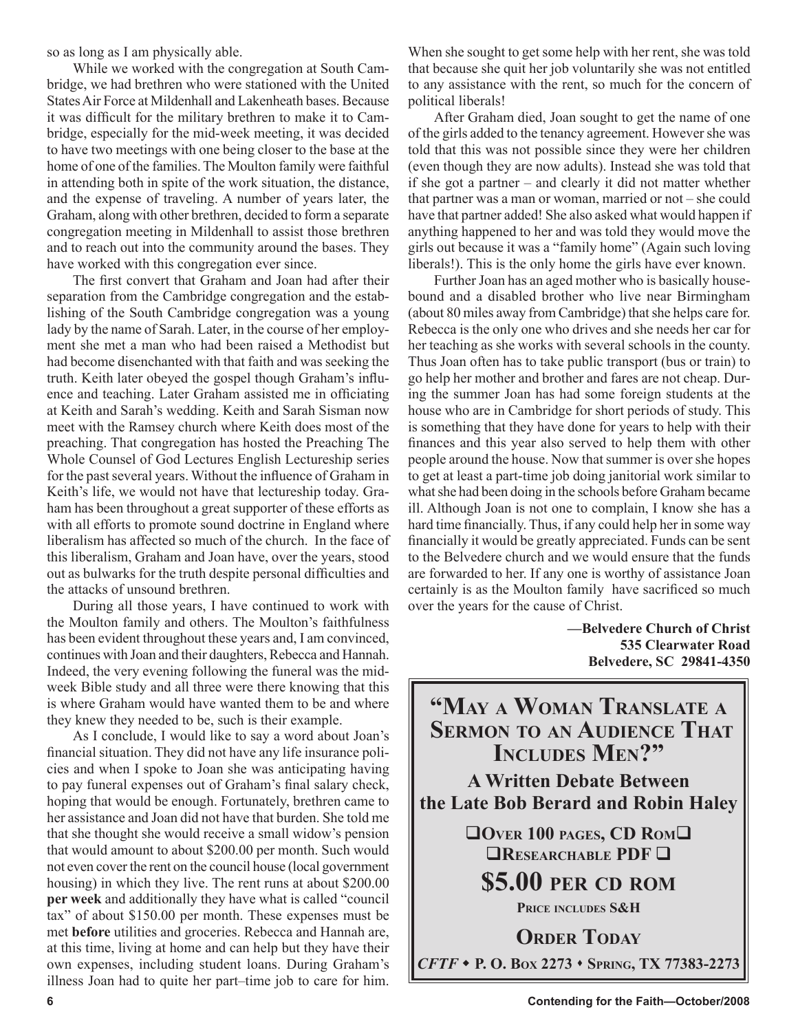so as long as I am physically able.

While we worked with the congregation at South Cambridge, we had brethren who were stationed with the United States Air Force at Mildenhall and Lakenheath bases. Because it was difficult for the military brethren to make it to Cambridge, especially for the mid-week meeting, it was decided to have two meetings with one being closer to the base at the home of one of the families. The Moulton family were faithful in attending both in spite of the work situation, the distance, and the expense of traveling. A number of years later, the Graham, along with other brethren, decided to form a separate congregation meeting in Mildenhall to assist those brethren and to reach out into the community around the bases. They have worked with this congregation ever since.

The first convert that Graham and Joan had after their separation from the Cambridge congregation and the establishing of the South Cambridge congregation was a young lady by the name of Sarah. Later, in the course of her employment she met a man who had been raised a Methodist but had become disenchanted with that faith and was seeking the truth. Keith later obeyed the gospel though Graham's influence and teaching. Later Graham assisted me in officiating at Keith and Sarah's wedding. Keith and Sarah Sisman now meet with the Ramsey church where Keith does most of the preaching. That congregation has hosted the Preaching The Whole Counsel of God Lectures English Lectureship series for the past several years. Without the influence of Graham in Keith's life, we would not have that lectureship today. Graham has been throughout a great supporter of these efforts as with all efforts to promote sound doctrine in England where liberalism has affected so much of the church. In the face of this liberalism, Graham and Joan have, over the years, stood out as bulwarks for the truth despite personal difficulties and the attacks of unsound brethren.

During all those years, I have continued to work with the Moulton family and others. The Moulton's faithfulness has been evident throughout these years and, I am convinced, continues with Joan and their daughters, Rebecca and Hannah. Indeed, the very evening following the funeral was the midweek Bible study and all three were there knowing that this is where Graham would have wanted them to be and where they knew they needed to be, such is their example.

As I conclude, I would like to say a word about Joan's financial situation. They did not have any life insurance policies and when I spoke to Joan she was anticipating having to pay funeral expenses out of Graham's final salary check, hoping that would be enough. Fortunately, brethren came to her assistance and Joan did not have that burden. She told me that she thought she would receive a small widow's pension that would amount to about \$200.00 per month. Such would not even cover the rent on the council house (local government housing) in which they live. The rent runs at about \$200.00 **per week** and additionally they have what is called "council tax" of about \$150.00 per month. These expenses must be met **before** utilities and groceries. Rebecca and Hannah are, at this time, living at home and can help but they have their own expenses, including student loans. During Graham's illness Joan had to quite her part–time job to care for him. When she sought to get some help with her rent, she was told that because she quit her job voluntarily she was not entitled to any assistance with the rent, so much for the concern of political liberals!

After Graham died, Joan sought to get the name of one of the girls added to the tenancy agreement. However she was told that this was not possible since they were her children (even though they are now adults). Instead she was told that if she got a partner – and clearly it did not matter whether that partner was a man or woman, married or not – she could have that partner added! She also asked what would happen if anything happened to her and was told they would move the girls out because it was a "family home" (Again such loving liberals!). This is the only home the girls have ever known.

Further Joan has an aged mother who is basically housebound and a disabled brother who live near Birmingham (about 80 miles away from Cambridge) that she helps care for. Rebecca is the only one who drives and she needs her car for her teaching as she works with several schools in the county. Thus Joan often has to take public transport (bus or train) to go help her mother and brother and fares are not cheap. During the summer Joan has had some foreign students at the house who are in Cambridge for short periods of study. This is something that they have done for years to help with their finances and this year also served to help them with other people around the house. Now that summer is over she hopes to get at least a part-time job doing janitorial work similar to what she had been doing in the schools before Graham became ill. Although Joan is not one to complain, I know she has a hard time financially. Thus, if any could help her in some way financially it would be greatly appreciated. Funds can be sent to the Belvedere church and we would ensure that the funds are forwarded to her. If any one is worthy of assistance Joan certainly is as the Moulton family have sacrificed so much over the years for the cause of Christ.

> **—Belvedere Church of Christ 535 Clearwater Road Belvedere, SC 29841-4350**

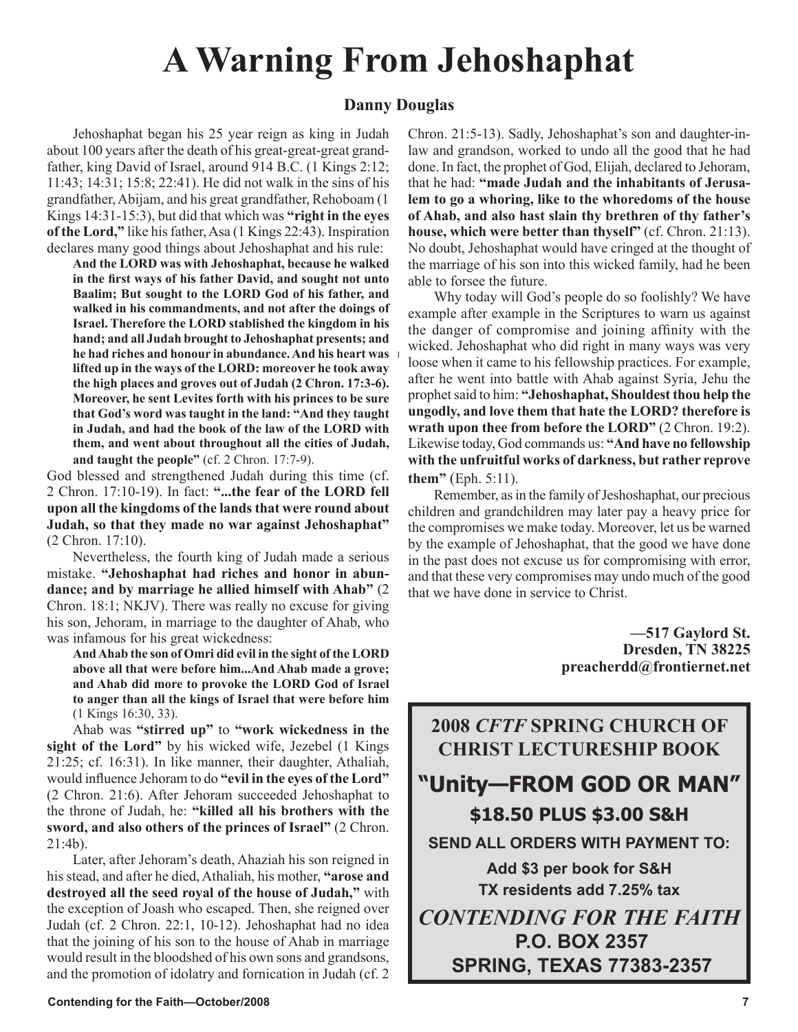# **A Warning From Jehoshaphat**

#### **Danny Douglas**

Jehoshaphat began his 25 year reign as king in Judah about 100 years after the death of his great-great-great grandfather, king David of Israel, around 914 B.C. (1 Kings 2:12; 11:43; 14:31; 15:8; 22:41). He did not walk in the sins of his grandfather, Abijam, and his great grandfather, Rehoboam (1 Kings 14:31-15:3), but did that which was **"right in the eyes of the Lord,"** like his father, Asa (1 Kings 22:43). Inspiration declares many good things about Jehoshaphat and his rule:

**And the LORD was with Jehoshaphat, because he walked in the first ways of his father David, and sought not unto Baalim; But sought to the LORD God of his father, and walked in his commandments, and not after the doings of Israel. Therefore the LORD stablished the kingdom in his hand; and all Judah brought to Jehoshaphat presents; and he had riches and honour in abundance. And his heart was lifted up in the ways of the LORD: moreover he took away the high places and groves out of Judah (2 Chron. 17:3-6). Moreover, he sent Levites forth with his princes to be sure that God's word was taught in the land: "And they taught in Judah, and had the book of the law of the LORD with them, and went about throughout all the cities of Judah, and taught the people"** (cf. 2 Chron. 17:7-9).

God blessed and strengthened Judah during this time (cf. 2 Chron. 17:10-19). In fact: **"...the fear of the LORD fell upon all the kingdoms of the lands that were round about Judah, so that they made no war against Jehoshaphat"** (2 Chron. 17:10).

Nevertheless, the fourth king of Judah made a serious mistake. **"Jehoshaphat had riches and honor in abundance; and by marriage he allied himself with Ahab"** (2 Chron. 18:1; NKJV). There was really no excuse for giving his son, Jehoram, in marriage to the daughter of Ahab, who was infamous for his great wickedness:

**And Ahab the son of Omri did evil in the sight of the LORD above all that were before him...And Ahab made a grove; and Ahab did more to provoke the LORD God of Israel to anger than all the kings of Israel that were before him** (1 Kings 16:30, 33).

Ahab was **"stirred up"** to **"work wickedness in the sight of the Lord"** by his wicked wife, Jezebel (1 Kings 21:25; cf. 16:31). In like manner, their daughter, Athaliah, would influence Jehoram to do **"evil in the eyes of the Lord"** (2 Chron. 21:6). After Jehoram succeeded Jehoshaphat to the throne of Judah, he: **"killed all his brothers with the sword, and also others of the princes of Israel"** (2 Chron. 21:4b).

Later, after Jehoram's death, Ahaziah his son reigned in his stead, and after he died, Athaliah, his mother, **"arose and destroyed all the seed royal of the house of Judah,"** with the exception of Joash who escaped. Then, she reigned over Judah (cf. 2 Chron. 22:1, 10-12). Jehoshaphat had no idea that the joining of his son to the house of Ahab in marriage would result in the bloodshed of his own sons and grandsons, and the promotion of idolatry and fornication in Judah (cf. 2 Chron. 21:5-13). Sadly, Jehoshaphat's son and daughter-inlaw and grandson, worked to undo all the good that he had done. In fact, the prophet of God, Elijah, declared to Jehoram, that he had: **"made Judah and the inhabitants of Jerusalem to go a whoring, like to the whoredoms of the house of Ahab, and also hast slain thy brethren of thy father's house, which were better than thyself"** (cf. Chron. 21:13). No doubt, Jehoshaphat would have cringed at the thought of the marriage of his son into this wicked family, had he been able to forsee the future.

Why today will God's people do so foolishly? We have example after example in the Scriptures to warn us against the danger of compromise and joining affinity with the wicked. Jehoshaphat who did right in many ways was very loose when it came to his fellowship practices. For example, after he went into battle with Ahab against Syria, Jehu the prophet said to him: **"Jehoshaphat, Shouldest thou help the ungodly, and love them that hate the LORD? therefore is wrath upon thee from before the LORD"** (2 Chron. 19:2). Likewise today, God commands us: **"And have no fellowship with the unfruitful works of darkness, but rather reprove them"** (Eph. 5:11).

Remember, as in the family of Jeshoshaphat, our precious children and grandchildren may later pay a heavy price for the compromises we make today. Moreover, let us be warned by the example of Jehoshaphat, that the good we have done in the past does not excuse us for compromising with error, and that these very compromises may undo much of the good that we have done in service to Christ.

> **—517 Gaylord St. Dresden, TN 38225 preacherdd@frontiernet.net**

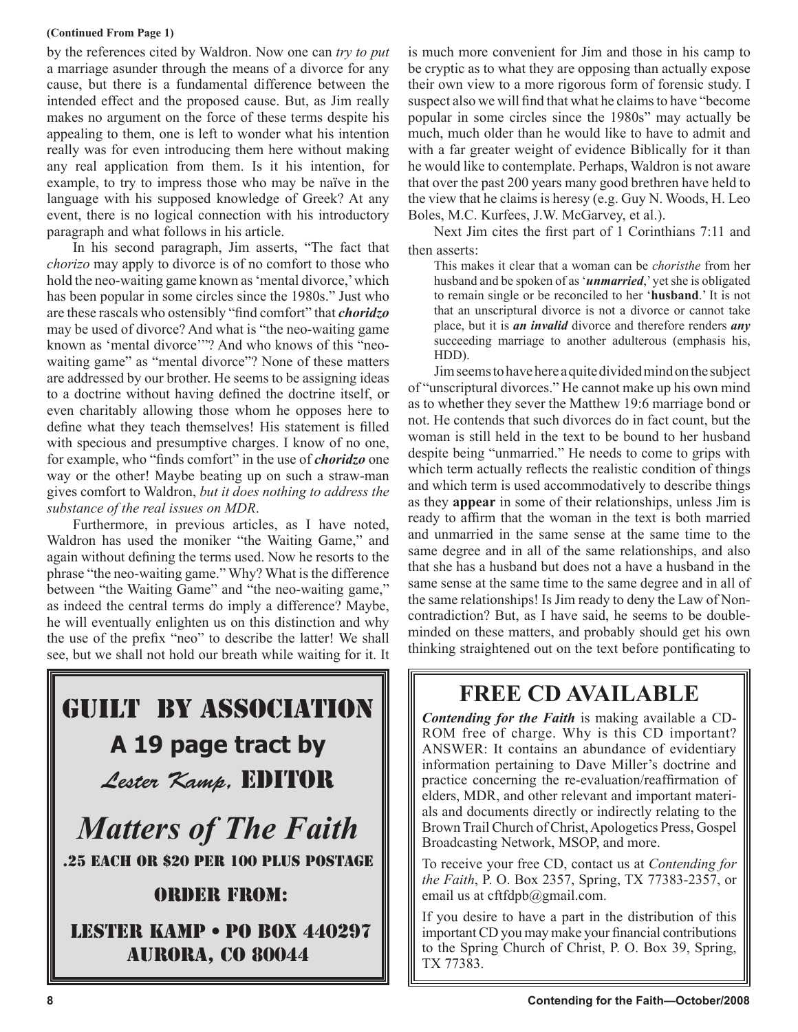#### **(Continued From Page 1)**

by the references cited by Waldron. Now one can *try to put* a marriage asunder through the means of a divorce for any cause, but there is a fundamental difference between the intended effect and the proposed cause. But, as Jim really makes no argument on the force of these terms despite his appealing to them, one is left to wonder what his intention really was for even introducing them here without making any real application from them. Is it his intention, for example, to try to impress those who may be naïve in the language with his supposed knowledge of Greek? At any event, there is no logical connection with his introductory paragraph and what follows in his article.

In his second paragraph, Jim asserts, "The fact that *chorizo* may apply to divorce is of no comfort to those who hold the neo-waiting game known as 'mental divorce,' which has been popular in some circles since the 1980s." Just who are these rascals who ostensibly "find comfort" that *choridzo* may be used of divorce? And what is "the neo-waiting game known as 'mental divorce'"? And who knows of this "neowaiting game" as "mental divorce"? None of these matters are addressed by our brother. He seems to be assigning ideas to a doctrine without having defined the doctrine itself, or even charitably allowing those whom he opposes here to define what they teach themselves! His statement is filled with specious and presumptive charges. I know of no one, for example, who "finds comfort" in the use of *choridzo* one way or the other! Maybe beating up on such a straw-man gives comfort to Waldron, *but it does nothing to address the substance of the real issues on MDR*.

Furthermore, in previous articles, as I have noted, Waldron has used the moniker "the Waiting Game," and again without defining the terms used. Now he resorts to the phrase "the neo-waiting game." Why? What is the difference between "the Waiting Game" and "the neo-waiting game," as indeed the central terms do imply a difference? Maybe, he will eventually enlighten us on this distinction and why the use of the prefix "neo" to describe the latter! We shall see, but we shall not hold our breath while waiting for it. It



*Matters of The Faith* .25 EACH OR \$20 PER 100 PLUS POSTAGE

### Order from:

 Lester Kamp • PO Box 440297 aurora, co 80044

is much more convenient for Jim and those in his camp to be cryptic as to what they are opposing than actually expose their own view to a more rigorous form of forensic study. I suspect also we will find that what he claims to have "become popular in some circles since the 1980s" may actually be much, much older than he would like to have to admit and with a far greater weight of evidence Biblically for it than he would like to contemplate. Perhaps, Waldron is not aware that over the past 200 years many good brethren have held to the view that he claims is heresy (e.g. Guy N. Woods, H. Leo Boles, M.C. Kurfees, J.W. McGarvey, et al.).

Next Jim cites the first part of 1 Corinthians 7:11 and then asserts:

This makes it clear that a woman can be *choristhe* from her husband and be spoken of as '*unmarried*,' yet she is obligated to remain single or be reconciled to her '**husband**.' It is not that an unscriptural divorce is not a divorce or cannot take place, but it is *an invalid* divorce and therefore renders *any* succeeding marriage to another adulterous (emphasis his, HDD).

Jim seems to have here a quite divided mind on the subject of "unscriptural divorces." He cannot make up his own mind as to whether they sever the Matthew 19:6 marriage bond or not. He contends that such divorces do in fact count, but the woman is still held in the text to be bound to her husband despite being "unmarried." He needs to come to grips with which term actually reflects the realistic condition of things and which term is used accommodatively to describe things as they **appear** in some of their relationships, unless Jim is ready to affirm that the woman in the text is both married and unmarried in the same sense at the same time to the same degree and in all of the same relationships, and also that she has a husband but does not a have a husband in the same sense at the same time to the same degree and in all of the same relationships! Is Jim ready to deny the Law of Noncontradiction? But, as I have said, he seems to be doubleminded on these matters, and probably should get his own thinking straightened out on the text before pontificating to

## **FREE CD AVAILABLE**

*Contending for the Faith* is making available a CD-ROM free of charge. Why is this CD important? ANSWER: It contains an abundance of evidentiary information pertaining to Dave Miller's doctrine and practice concerning the re-evaluation/reaffirmation of elders, MDR, and other relevant and important materials and documents directly or indirectly relating to the Brown Trail Church of Christ, Apologetics Press, Gospel Broadcasting Network, MSOP, and more.

To receive your free CD, contact us at *Contending for the Faith*, P. O. Box 2357, Spring, TX 77383-2357, or email us at cftfdpb@gmail.com.

If you desire to have a part in the distribution of this important CD you may make your financial contributions to the Spring Church of Christ, P. O. Box 39, Spring, TX 77383.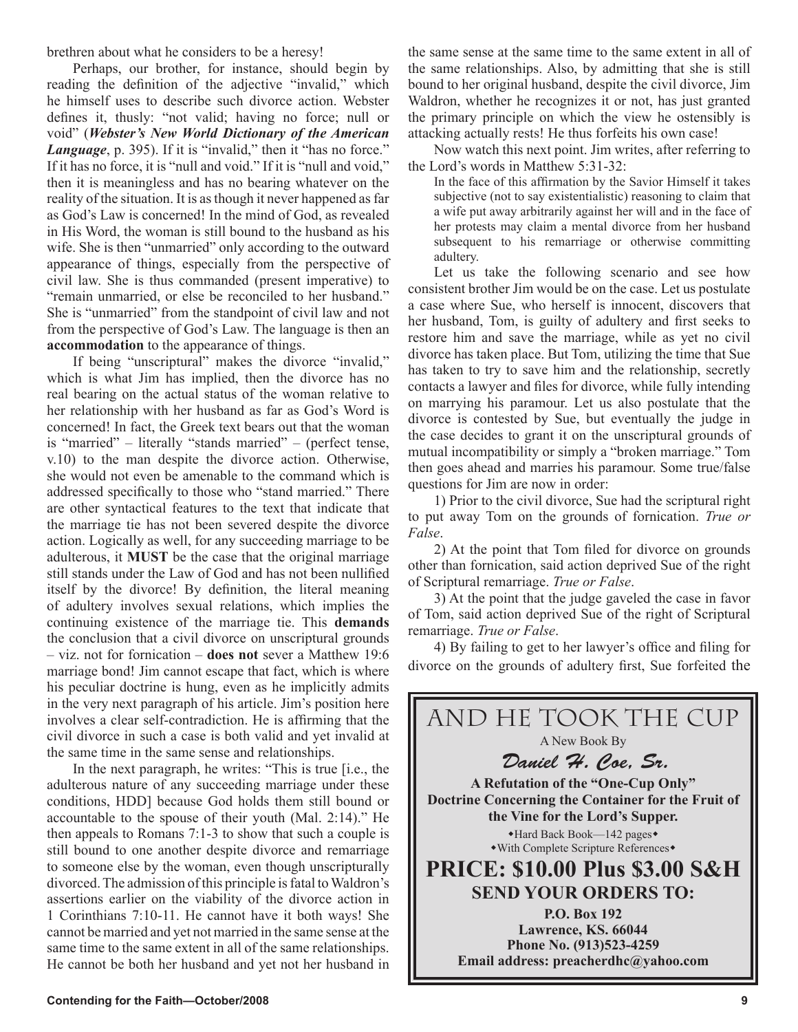brethren about what he considers to be a heresy!

Perhaps, our brother, for instance, should begin by reading the definition of the adjective "invalid," which he himself uses to describe such divorce action. Webster defines it, thusly: "not valid; having no force; null or void" (*Webster's New World Dictionary of the American*  Language, p. 395). If it is "invalid," then it "has no force." If it has no force, it is "null and void." If it is "null and void," then it is meaningless and has no bearing whatever on the reality of the situation. It is as though it never happened as far as God's Law is concerned! In the mind of God, as revealed in His Word, the woman is still bound to the husband as his wife. She is then "unmarried" only according to the outward appearance of things, especially from the perspective of civil law. She is thus commanded (present imperative) to "remain unmarried, or else be reconciled to her husband." She is "unmarried" from the standpoint of civil law and not from the perspective of God's Law. The language is then an **accommodation** to the appearance of things.

If being "unscriptural" makes the divorce "invalid," which is what Jim has implied, then the divorce has no real bearing on the actual status of the woman relative to her relationship with her husband as far as God's Word is concerned! In fact, the Greek text bears out that the woman is "married" – literally "stands married" – (perfect tense, v.10) to the man despite the divorce action. Otherwise, she would not even be amenable to the command which is addressed specifically to those who "stand married." There are other syntactical features to the text that indicate that the marriage tie has not been severed despite the divorce action. Logically as well, for any succeeding marriage to be adulterous, it **MUST** be the case that the original marriage still stands under the Law of God and has not been nullified itself by the divorce! By definition, the literal meaning of adultery involves sexual relations, which implies the continuing existence of the marriage tie. This **demands** the conclusion that a civil divorce on unscriptural grounds – viz. not for fornication – **does not** sever a Matthew 19:6 marriage bond! Jim cannot escape that fact, which is where his peculiar doctrine is hung, even as he implicitly admits in the very next paragraph of his article. Jim's position here involves a clear self-contradiction. He is affirming that the civil divorce in such a case is both valid and yet invalid at the same time in the same sense and relationships.

In the next paragraph, he writes: "This is true [i.e., the adulterous nature of any succeeding marriage under these conditions, HDD] because God holds them still bound or accountable to the spouse of their youth (Mal. 2:14)." He then appeals to Romans 7:1-3 to show that such a couple is still bound to one another despite divorce and remarriage to someone else by the woman, even though unscripturally divorced. The admission of this principle is fatal to Waldron's assertions earlier on the viability of the divorce action in 1 Corinthians 7:10-11. He cannot have it both ways! She cannot be married and yet not married in the same sense at the same time to the same extent in all of the same relationships. He cannot be both her husband and yet not her husband in

the same sense at the same time to the same extent in all of the same relationships. Also, by admitting that she is still bound to her original husband, despite the civil divorce, Jim Waldron, whether he recognizes it or not, has just granted the primary principle on which the view he ostensibly is attacking actually rests! He thus forfeits his own case!

Now watch this next point. Jim writes, after referring to the Lord's words in Matthew 5:31-32:

In the face of this affirmation by the Savior Himself it takes subjective (not to say existentialistic) reasoning to claim that a wife put away arbitrarily against her will and in the face of her protests may claim a mental divorce from her husband subsequent to his remarriage or otherwise committing adultery.

Let us take the following scenario and see how consistent brother Jim would be on the case. Let us postulate a case where Sue, who herself is innocent, discovers that her husband, Tom, is guilty of adultery and first seeks to restore him and save the marriage, while as yet no civil divorce has taken place. But Tom, utilizing the time that Sue has taken to try to save him and the relationship, secretly contacts a lawyer and files for divorce, while fully intending on marrying his paramour. Let us also postulate that the divorce is contested by Sue, but eventually the judge in the case decides to grant it on the unscriptural grounds of mutual incompatibility or simply a "broken marriage." Tom then goes ahead and marries his paramour. Some true/false questions for Jim are now in order:

1) Prior to the civil divorce, Sue had the scriptural right to put away Tom on the grounds of fornication. *True or False*.

2) At the point that Tom filed for divorce on grounds other than fornication, said action deprived Sue of the right of Scriptural remarriage. *True or False*.

3) At the point that the judge gaveled the case in favor of Tom, said action deprived Sue of the right of Scriptural remarriage. *True or False*.

4) By failing to get to her lawyer's office and filing for divorce on the grounds of adultery first, Sue forfeited the

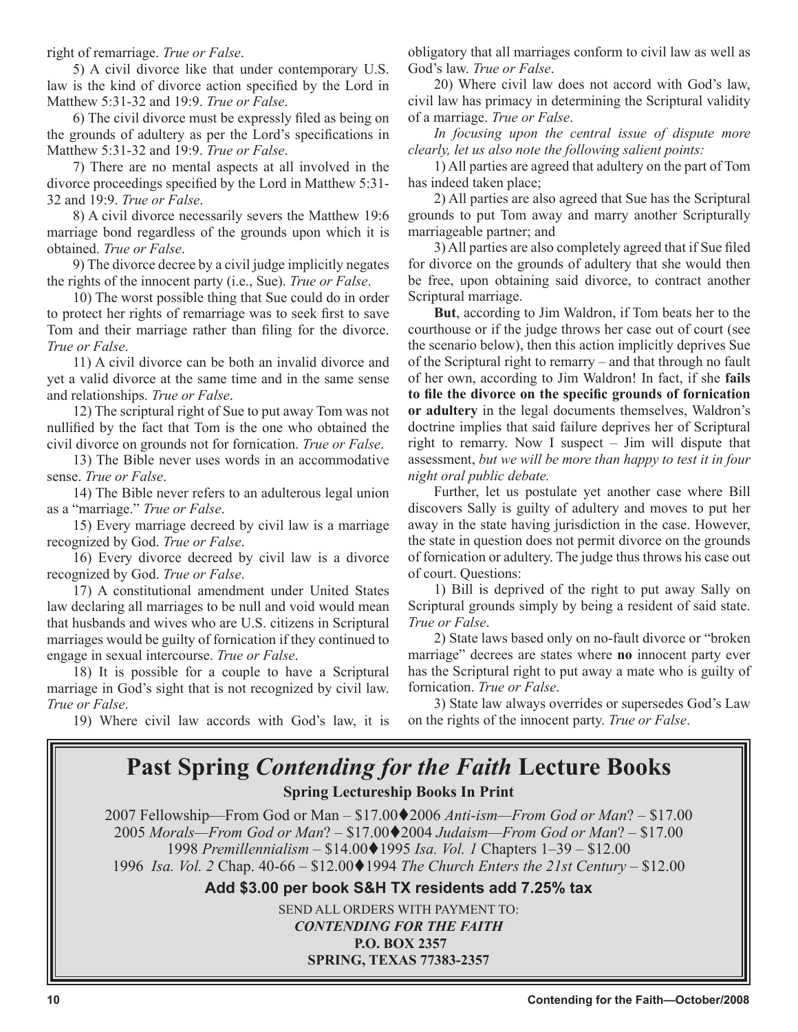right of remarriage. *True or False*.

5) A civil divorce like that under contemporary U.S. law is the kind of divorce action specified by the Lord in Matthew 5:31-32 and 19:9. *True or False*.

6) The civil divorce must be expressly filed as being on the grounds of adultery as per the Lord's specifications in Matthew 5:31-32 and 19:9. *True or False*.

7) There are no mental aspects at all involved in the divorce proceedings specified by the Lord in Matthew 5:31- 32 and 19:9. *True or False*.

8) A civil divorce necessarily severs the Matthew 19:6 marriage bond regardless of the grounds upon which it is obtained. *True or False*.

9) The divorce decree by a civil judge implicitly negates the rights of the innocent party (i.e., Sue). *True or False*.

10) The worst possible thing that Sue could do in order to protect her rights of remarriage was to seek first to save Tom and their marriage rather than filing for the divorce. *True or False*.

11) A civil divorce can be both an invalid divorce and yet a valid divorce at the same time and in the same sense and relationships. *True or False*.

12) The scriptural right of Sue to put away Tom was not nullified by the fact that Tom is the one who obtained the civil divorce on grounds not for fornication. *True or False*.

13) The Bible never uses words in an accommodative sense. *True or False*.

14) The Bible never refers to an adulterous legal union as a "marriage." *True or False*.

15) Every marriage decreed by civil law is a marriage recognized by God. *True or False*.

16) Every divorce decreed by civil law is a divorce recognized by God. *True or False*.

17) A constitutional amendment under United States law declaring all marriages to be null and void would mean that husbands and wives who are U.S. citizens in Scriptural marriages would be guilty of fornication if they continued to engage in sexual intercourse. *True or False*.

18) It is possible for a couple to have a Scriptural marriage in God's sight that is not recognized by civil law. *True or False*.

19) Where civil law accords with God's law, it is

obligatory that all marriages conform to civil law as well as God's law. *True or False*.

20) Where civil law does not accord with God's law, civil law has primacy in determining the Scriptural validity of a marriage. *True or False*.

*In focusing upon the central issue of dispute more clearly, let us also note the following salient points:*

1) All parties are agreed that adultery on the part of Tom has indeed taken place;

2) All parties are also agreed that Sue has the Scriptural grounds to put Tom away and marry another Scripturally marriageable partner; and

3) All parties are also completely agreed that if Sue filed for divorce on the grounds of adultery that she would then be free, upon obtaining said divorce, to contract another Scriptural marriage.

**But**, according to Jim Waldron, if Tom beats her to the courthouse or if the judge throws her case out of court (see the scenario below), then this action implicitly deprives Sue of the Scriptural right to remarry – and that through no fault of her own, according to Jim Waldron! In fact, if she **fails to file the divorce on the specific grounds of fornication or adultery** in the legal documents themselves, Waldron's doctrine implies that said failure deprives her of Scriptural right to remarry. Now I suspect – Jim will dispute that assessment, *but we will be more than happy to test it in four night oral public debate.*

Further, let us postulate yet another case where Bill discovers Sally is guilty of adultery and moves to put her away in the state having jurisdiction in the case. However, the state in question does not permit divorce on the grounds of fornication or adultery. The judge thus throws his case out of court. Questions:

1) Bill is deprived of the right to put away Sally on Scriptural grounds simply by being a resident of said state. *True or False*.

2) State laws based only on no-fault divorce or "broken marriage" decrees are states where **no** innocent party ever has the Scriptural right to put away a mate who is guilty of fornication. *True or False*.

3) State law always overrides or supersedes God's Law on the rights of the innocent party. *True or False*.

### **Past Spring** *Contending for the Faith* **Lecture Books Spring Lectureship Books In Print**

2007 Fellowship—From God or Man – \$17.00♦2006 *Anti-ism—From God or Man*? – \$17.00 *Morals—From God or Man*? – \$17.002004 *Judaism—From God or Man*? – \$17.00 *Premillennialism –* \$14.001995 *Isa. Vol. 1* Chapters 1–39 – \$12.00 *Isa. Vol. 2* Chap. 40-66 – \$12.001994 *The Church Enters the 21st Century* – \$12.00

**Add \$3.00 per book S&H TX residents add 7.25% tax**

SEND ALL ORDERS WITH PAYMENT TO: *CONTENDING FOR THE FAITH* **P.O. BOX 2357 SPRING, TEXAS 77383-2357**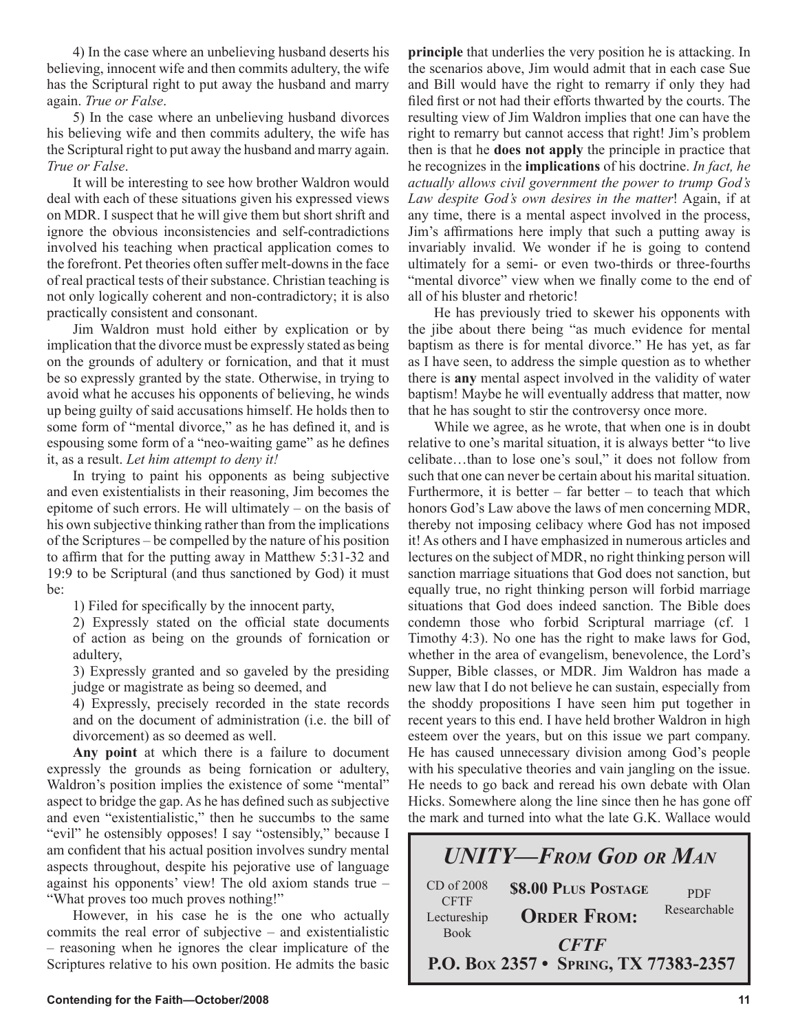4) In the case where an unbelieving husband deserts his believing, innocent wife and then commits adultery, the wife has the Scriptural right to put away the husband and marry again. *True or False*.

5) In the case where an unbelieving husband divorces his believing wife and then commits adultery, the wife has the Scriptural right to put away the husband and marry again. *True or False*.

It will be interesting to see how brother Waldron would deal with each of these situations given his expressed views on MDR. I suspect that he will give them but short shrift and ignore the obvious inconsistencies and self-contradictions involved his teaching when practical application comes to the forefront. Pet theories often suffer melt-downs in the face of real practical tests of their substance. Christian teaching is not only logically coherent and non-contradictory; it is also practically consistent and consonant.

Jim Waldron must hold either by explication or by implication that the divorce must be expressly stated as being on the grounds of adultery or fornication, and that it must be so expressly granted by the state. Otherwise, in trying to avoid what he accuses his opponents of believing, he winds up being guilty of said accusations himself. He holds then to some form of "mental divorce," as he has defined it, and is espousing some form of a "neo-waiting game" as he defines it, as a result. *Let him attempt to deny it!*

In trying to paint his opponents as being subjective and even existentialists in their reasoning, Jim becomes the epitome of such errors. He will ultimately – on the basis of his own subjective thinking rather than from the implications of the Scriptures – be compelled by the nature of his position to affirm that for the putting away in Matthew 5:31-32 and 19:9 to be Scriptural (and thus sanctioned by God) it must be:

1) Filed for specifically by the innocent party,

2) Expressly stated on the official state documents of action as being on the grounds of fornication or adultery,

3) Expressly granted and so gaveled by the presiding judge or magistrate as being so deemed, and

4) Expressly, precisely recorded in the state records and on the document of administration (i.e. the bill of divorcement) as so deemed as well.

**Any point** at which there is a failure to document expressly the grounds as being fornication or adultery, Waldron's position implies the existence of some "mental" aspect to bridge the gap. As he has defined such as subjective and even "existentialistic," then he succumbs to the same "evil" he ostensibly opposes! I say "ostensibly," because I am confident that his actual position involves sundry mental aspects throughout, despite his pejorative use of language against his opponents' view! The old axiom stands true – "What proves too much proves nothing!"

However, in his case he is the one who actually commits the real error of subjective – and existentialistic – reasoning when he ignores the clear implicature of the Scriptures relative to his own position. He admits the basic **principle** that underlies the very position he is attacking. In the scenarios above, Jim would admit that in each case Sue and Bill would have the right to remarry if only they had filed first or not had their efforts thwarted by the courts. The resulting view of Jim Waldron implies that one can have the right to remarry but cannot access that right! Jim's problem then is that he **does not apply** the principle in practice that he recognizes in the **implications** of his doctrine. *In fact, he actually allows civil government the power to trump God's Law despite God's own desires in the matter*! Again, if at any time, there is a mental aspect involved in the process, Jim's affirmations here imply that such a putting away is invariably invalid. We wonder if he is going to contend ultimately for a semi- or even two-thirds or three-fourths "mental divorce" view when we finally come to the end of all of his bluster and rhetoric!

He has previously tried to skewer his opponents with the jibe about there being "as much evidence for mental baptism as there is for mental divorce." He has yet, as far as I have seen, to address the simple question as to whether there is **any** mental aspect involved in the validity of water baptism! Maybe he will eventually address that matter, now that he has sought to stir the controversy once more.

While we agree, as he wrote, that when one is in doubt relative to one's marital situation, it is always better "to live celibate…than to lose one's soul," it does not follow from such that one can never be certain about his marital situation. Furthermore, it is better – far better – to teach that which honors God's Law above the laws of men concerning MDR, thereby not imposing celibacy where God has not imposed it! As others and I have emphasized in numerous articles and lectures on the subject of MDR, no right thinking person will sanction marriage situations that God does not sanction, but equally true, no right thinking person will forbid marriage situations that God does indeed sanction. The Bible does condemn those who forbid Scriptural marriage (cf. 1 Timothy 4:3). No one has the right to make laws for God, whether in the area of evangelism, benevolence, the Lord's Supper, Bible classes, or MDR. Jim Waldron has made a new law that I do not believe he can sustain, especially from the shoddy propositions I have seen him put together in recent years to this end. I have held brother Waldron in high esteem over the years, but on this issue we part company. He has caused unnecessary division among God's people with his speculative theories and vain jangling on the issue. He needs to go back and reread his own debate with Olan Hicks. Somewhere along the line since then he has gone off the mark and turned into what the late G.K. Wallace would

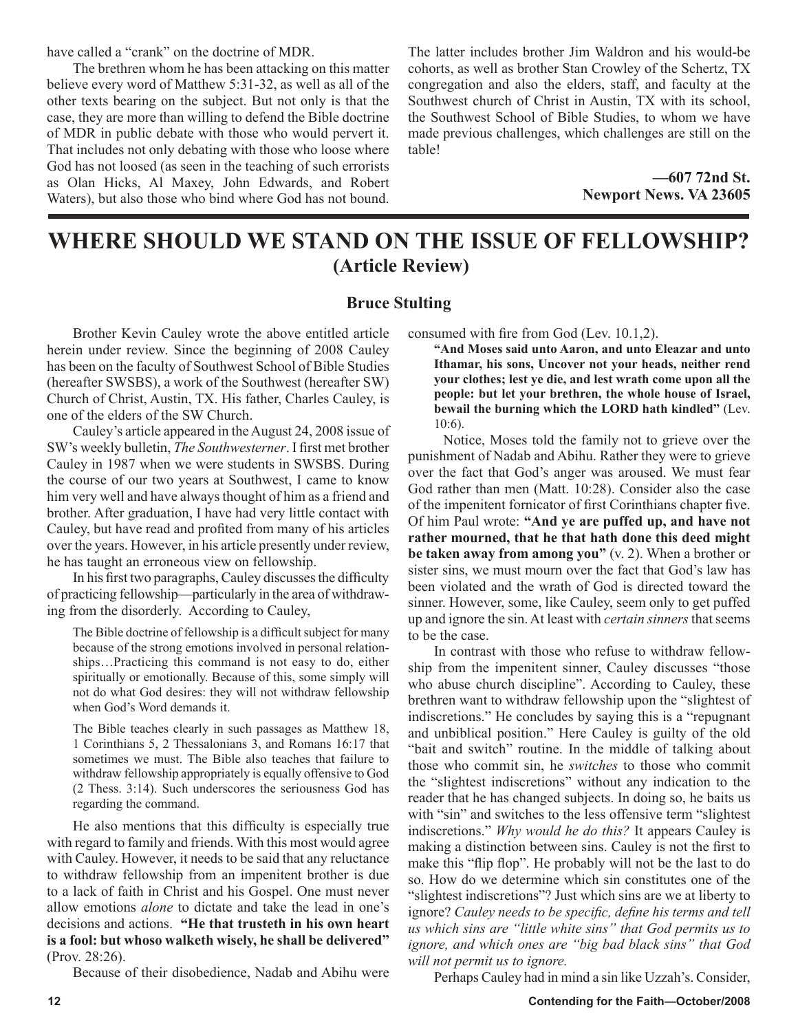have called a "crank" on the doctrine of MDR.

The brethren whom he has been attacking on this matter believe every word of Matthew 5:31-32, as well as all of the other texts bearing on the subject. But not only is that the case, they are more than willing to defend the Bible doctrine of MDR in public debate with those who would pervert it. That includes not only debating with those who loose where God has not loosed (as seen in the teaching of such errorists as Olan Hicks, Al Maxey, John Edwards, and Robert Waters), but also those who bind where God has not bound.

The latter includes brother Jim Waldron and his would-be cohorts, as well as brother Stan Crowley of the Schertz, TX congregation and also the elders, staff, and faculty at the Southwest church of Christ in Austin, TX with its school, the Southwest School of Bible Studies, to whom we have made previous challenges, which challenges are still on the table!

> **—607 72nd St. Newport News. VA 23605**

### **WHERE SHOULD WE STAND ON THE ISSUE OF FELLOWSHIP? (Article Review)**

#### **Bruce Stulting**

Brother Kevin Cauley wrote the above entitled article herein under review. Since the beginning of 2008 Cauley has been on the faculty of Southwest School of Bible Studies (hereafter SWSBS), a work of the Southwest (hereafter SW) Church of Christ, Austin, TX. His father, Charles Cauley, is one of the elders of the SW Church.

Cauley's article appeared in the August 24, 2008 issue of SW's weekly bulletin, *The Southwesterner*. I first met brother Cauley in 1987 when we were students in SWSBS. During the course of our two years at Southwest, I came to know him very well and have always thought of him as a friend and brother. After graduation, I have had very little contact with Cauley, but have read and profited from many of his articles over the years. However, in his article presently under review, he has taught an erroneous view on fellowship.

In his first two paragraphs, Cauley discusses the difficulty of practicing fellowship—particularly in the area of withdrawing from the disorderly. According to Cauley,

The Bible doctrine of fellowship is a difficult subject for many because of the strong emotions involved in personal relationships…Practicing this command is not easy to do, either spiritually or emotionally. Because of this, some simply will not do what God desires: they will not withdraw fellowship when God's Word demands it.

The Bible teaches clearly in such passages as Matthew 18, 1 Corinthians 5, 2 Thessalonians 3, and Romans 16:17 that sometimes we must. The Bible also teaches that failure to withdraw fellowship appropriately is equally offensive to God (2 Thess. 3:14). Such underscores the seriousness God has regarding the command.

He also mentions that this difficulty is especially true with regard to family and friends. With this most would agree with Cauley. However, it needs to be said that any reluctance to withdraw fellowship from an impenitent brother is due to a lack of faith in Christ and his Gospel. One must never allow emotions *alone* to dictate and take the lead in one's decisions and actions. **"He that trusteth in his own heart is a fool: but whoso walketh wisely, he shall be delivered"** (Prov. 28:26).

Because of their disobedience, Nadab and Abihu were

consumed with fire from God (Lev. 10.1,2).

**"And Moses said unto Aaron, and unto Eleazar and unto Ithamar, his sons, Uncover not your heads, neither rend your clothes; lest ye die, and lest wrath come upon all the people: but let your brethren, the whole house of Israel, bewail the burning which the LORD hath kindled"** (Lev. 10:6).

 Notice, Moses told the family not to grieve over the punishment of Nadab and Abihu. Rather they were to grieve over the fact that God's anger was aroused. We must fear God rather than men (Matt. 10:28). Consider also the case of the impenitent fornicator of first Corinthians chapter five. Of him Paul wrote: **"And ye are puffed up, and have not rather mourned, that he that hath done this deed might be taken away from among you"** (v. 2). When a brother or sister sins, we must mourn over the fact that God's law has been violated and the wrath of God is directed toward the sinner. However, some, like Cauley, seem only to get puffed up and ignore the sin. At least with *certain sinners* that seems to be the case.

In contrast with those who refuse to withdraw fellowship from the impenitent sinner, Cauley discusses "those who abuse church discipline". According to Cauley, these brethren want to withdraw fellowship upon the "slightest of indiscretions." He concludes by saying this is a "repugnant and unbiblical position." Here Cauley is guilty of the old "bait and switch" routine. In the middle of talking about those who commit sin, he *switches* to those who commit the "slightest indiscretions" without any indication to the reader that he has changed subjects. In doing so, he baits us with "sin" and switches to the less offensive term "slightest" indiscretions." *Why would he do this?* It appears Cauley is making a distinction between sins. Cauley is not the first to make this "flip flop". He probably will not be the last to do so. How do we determine which sin constitutes one of the "slightest indiscretions"? Just which sins are we at liberty to ignore? *Cauley needs to be specific, define his terms and tell us which sins are "little white sins" that God permits us to ignore, and which ones are "big bad black sins" that God will not permit us to ignore.*

Perhaps Cauley had in mind a sin like Uzzah's. Consider,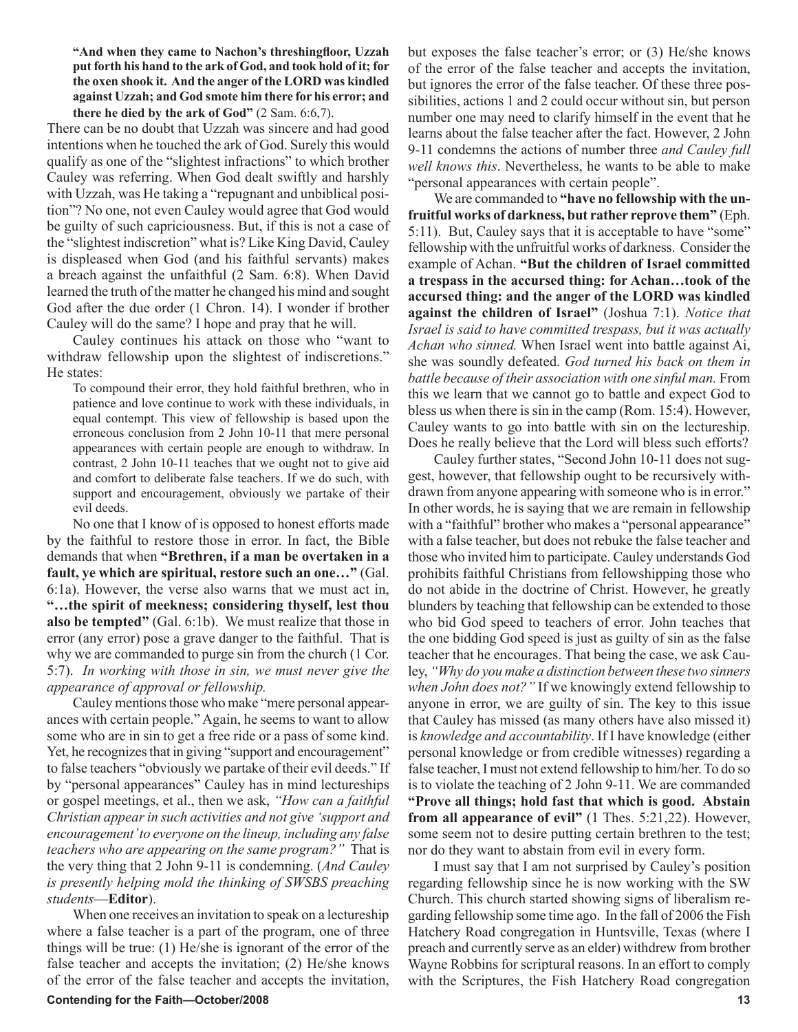**"And when they came to Nachon's threshingfloor, Uzzah put forth his hand to the ark of God, and took hold of it; for the oxen shook it. And the anger of the LORD was kindled against Uzzah; and God smote him there for his error; and there he died by the ark of God"** (2 Sam. 6:6,7).

There can be no doubt that Uzzah was sincere and had good intentions when he touched the ark of God. Surely this would qualify as one of the "slightest infractions" to which brother Cauley was referring. When God dealt swiftly and harshly with Uzzah, was He taking a "repugnant and unbiblical position"? No one, not even Cauley would agree that God would be guilty of such capriciousness. But, if this is not a case of the "slightest indiscretion" what is? Like King David, Cauley is displeased when God (and his faithful servants) makes a breach against the unfaithful (2 Sam. 6:8). When David learned the truth of the matter he changed his mind and sought God after the due order (1 Chron. 14). I wonder if brother Cauley will do the same? I hope and pray that he will.

Cauley continues his attack on those who "want to withdraw fellowship upon the slightest of indiscretions." He states:

To compound their error, they hold faithful brethren, who in patience and love continue to work with these individuals, in equal contempt. This view of fellowship is based upon the erroneous conclusion from 2 John 10-11 that mere personal appearances with certain people are enough to withdraw. In contrast, 2 John 10-11 teaches that we ought not to give aid and comfort to deliberate false teachers. If we do such, with support and encouragement, obviously we partake of their evil deeds.

No one that I know of is opposed to honest efforts made by the faithful to restore those in error. In fact, the Bible demands that when **"Brethren, if a man be overtaken in a fault, ye which are spiritual, restore such an one…"** (Gal. 6:1a). However, the verse also warns that we must act in, **"…the spirit of meekness; considering thyself, lest thou also be tempted"** (Gal. 6:1b). We must realize that those in error (any error) pose a grave danger to the faithful. That is why we are commanded to purge sin from the church (1 Cor. 5:7). *In working with those in sin, we must never give the appearance of approval or fellowship.*

Cauley mentions those who make "mere personal appearances with certain people." Again, he seems to want to allow some who are in sin to get a free ride or a pass of some kind. Yet, he recognizes that in giving "support and encouragement" to false teachers "obviously we partake of their evil deeds." If by "personal appearances" Cauley has in mind lectureships or gospel meetings, et al., then we ask, *"How can a faithful Christian appear in such activities and not give 'support and encouragement' to everyone on the lineup, including any false teachers who are appearing on the same program?"* That is the very thing that 2 John 9-11 is condemning. (*And Cauley is presently helping mold the thinking of SWSBS preaching students*—**Editor**).

When one receives an invitation to speak on a lectureship where a false teacher is a part of the program, one of three things will be true: (1) He/she is ignorant of the error of the false teacher and accepts the invitation; (2) He/she knows of the error of the false teacher and accepts the invitation, but exposes the false teacher's error; or (3) He/she knows of the error of the false teacher and accepts the invitation, but ignores the error of the false teacher. Of these three possibilities, actions 1 and 2 could occur without sin, but person number one may need to clarify himself in the event that he learns about the false teacher after the fact. However, 2 John 9-11 condemns the actions of number three *and Cauley full well knows this*. Nevertheless, he wants to be able to make "personal appearances with certain people".

We are commanded to **"have no fellowship with the unfruitful works of darkness, but rather reprove them"** (Eph. 5:11). But, Cauley says that it is acceptable to have "some" fellowship with the unfruitful works of darkness. Consider the example of Achan. **"But the children of Israel committed a trespass in the accursed thing: for Achan…took of the accursed thing: and the anger of the LORD was kindled against the children of Israel"** (Joshua 7:1). *Notice that Israel is said to have committed trespass, but it was actually Achan who sinned.* When Israel went into battle against Ai, she was soundly defeated. *God turned his back on them in battle because of their association with one sinful man.* From this we learn that we cannot go to battle and expect God to bless us when there is sin in the camp (Rom. 15:4). However, Cauley wants to go into battle with sin on the lectureship. Does he really believe that the Lord will bless such efforts?

Cauley further states, "Second John 10-11 does not suggest, however, that fellowship ought to be recursively withdrawn from anyone appearing with someone who is in error." In other words, he is saying that we are remain in fellowship with a "faithful" brother who makes a "personal appearance" with a false teacher, but does not rebuke the false teacher and those who invited him to participate. Cauley understands God prohibits faithful Christians from fellowshipping those who do not abide in the doctrine of Christ. However, he greatly blunders by teaching that fellowship can be extended to those who bid God speed to teachers of error. John teaches that the one bidding God speed is just as guilty of sin as the false teacher that he encourages. That being the case, we ask Cauley, *"Why do you make a distinction between these two sinners when John does not?"* If we knowingly extend fellowship to anyone in error, we are guilty of sin. The key to this issue that Cauley has missed (as many others have also missed it) is *knowledge and accountability*. If I have knowledge (either personal knowledge or from credible witnesses) regarding a false teacher, I must not extend fellowship to him/her. To do so is to violate the teaching of 2 John 9-11. We are commanded **"Prove all things; hold fast that which is good. Abstain from all appearance of evil"** (1 Thes. 5:21,22). However, some seem not to desire putting certain brethren to the test; nor do they want to abstain from evil in every form.

I must say that I am not surprised by Cauley's position regarding fellowship since he is now working with the SW Church. This church started showing signs of liberalism regarding fellowship some time ago. In the fall of 2006 the Fish Hatchery Road congregation in Huntsville, Texas (where I preach and currently serve as an elder) withdrew from brother Wayne Robbins for scriptural reasons. In an effort to comply with the Scriptures, the Fish Hatchery Road congregation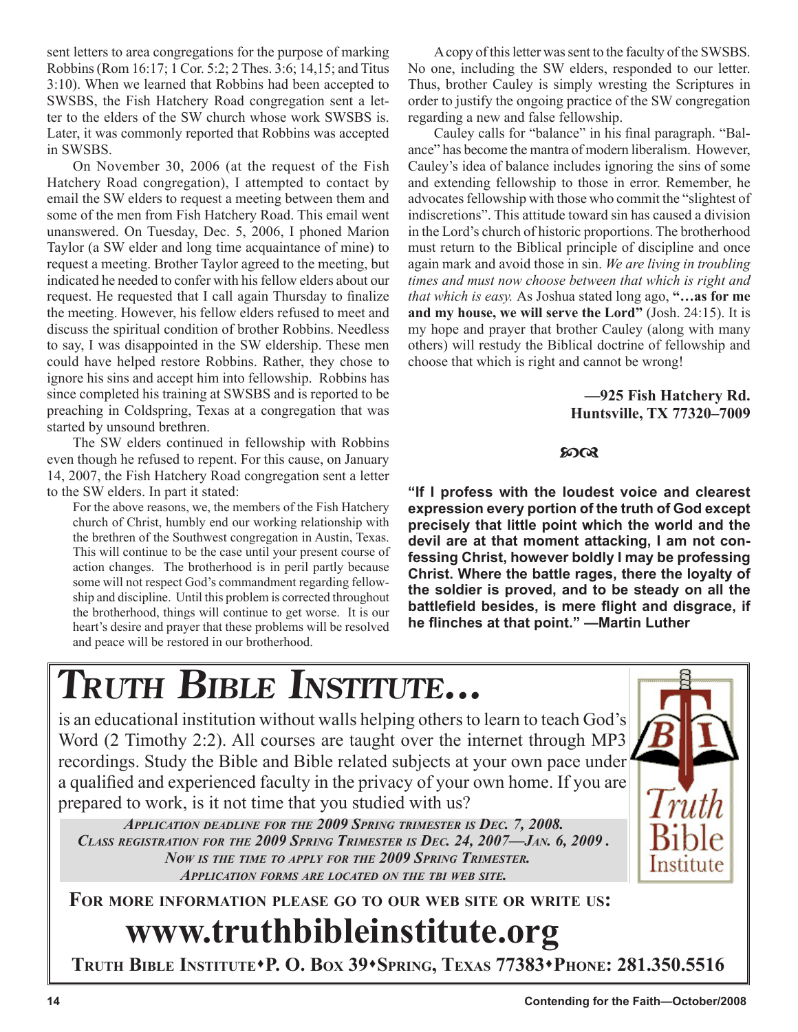sent letters to area congregations for the purpose of marking Robbins (Rom 16:17; 1 Cor. 5:2; 2 Thes. 3:6; 14,15; and Titus 3:10). When we learned that Robbins had been accepted to SWSBS, the Fish Hatchery Road congregation sent a letter to the elders of the SW church whose work SWSBS is. Later, it was commonly reported that Robbins was accepted in SWSBS.

On November 30, 2006 (at the request of the Fish Hatchery Road congregation), I attempted to contact by email the SW elders to request a meeting between them and some of the men from Fish Hatchery Road. This email went unanswered. On Tuesday, Dec. 5, 2006, I phoned Marion Taylor (a SW elder and long time acquaintance of mine) to request a meeting. Brother Taylor agreed to the meeting, but indicated he needed to confer with his fellow elders about our request. He requested that I call again Thursday to finalize the meeting. However, his fellow elders refused to meet and discuss the spiritual condition of brother Robbins. Needless to say, I was disappointed in the SW eldership. These men could have helped restore Robbins. Rather, they chose to ignore his sins and accept him into fellowship. Robbins has since completed his training at SWSBS and is reported to be preaching in Coldspring, Texas at a congregation that was started by unsound brethren.

The SW elders continued in fellowship with Robbins even though he refused to repent. For this cause, on January 14, 2007, the Fish Hatchery Road congregation sent a letter to the SW elders. In part it stated:

For the above reasons, we, the members of the Fish Hatchery church of Christ, humbly end our working relationship with the brethren of the Southwest congregation in Austin, Texas. This will continue to be the case until your present course of action changes. The brotherhood is in peril partly because some will not respect God's commandment regarding fellowship and discipline. Until this problem is corrected throughout the brotherhood, things will continue to get worse. It is our heart's desire and prayer that these problems will be resolved and peace will be restored in our brotherhood.

A copy of this letter was sent to the faculty of the SWSBS. No one, including the SW elders, responded to our letter. Thus, brother Cauley is simply wresting the Scriptures in order to justify the ongoing practice of the SW congregation regarding a new and false fellowship.

Cauley calls for "balance" in his final paragraph. "Balance" has become the mantra of modern liberalism. However, Cauley's idea of balance includes ignoring the sins of some and extending fellowship to those in error. Remember, he advocates fellowship with those who commit the "slightest of indiscretions". This attitude toward sin has caused a division in the Lord's church of historic proportions. The brotherhood must return to the Biblical principle of discipline and once again mark and avoid those in sin. *We are living in troubling times and must now choose between that which is right and that which is easy.* As Joshua stated long ago, **"…as for me and my house, we will serve the Lord"** (Josh. 24:15). It is my hope and prayer that brother Cauley (along with many others) will restudy the Biblical doctrine of fellowship and choose that which is right and cannot be wrong!

#### **—925 Fish Hatchery Rd. Huntsville, TX 77320–7009**

#### $5003$

**"If I profess with the loudest voice and clearest expression every portion of the truth of God except precisely that little point which the world and the devil are at that moment attacking, I am not confessing Christ, however boldly I may be professing Christ. Where the battle rages, there the loyalty of the soldier is proved, and to be steady on all the battlefield besides, is mere flight and disgrace, if he flinches at that point." —Martin Luther**

# **TRUTH BIBLE INSTITUTE...**

is an educational institution without walls helping others to learn to teach God's Word (2 Timothy 2:2). All courses are taught over the internet through MP3 recordings. Study the Bible and Bible related subjects at your own pace under a qualified and experienced faculty in the privacy of your own home. If you are prepared to work, is it not time that you studied with us?

*APPLICATION DEADLINE FOR THE 2009 SPRING TRIMESTER IS DEC. 7, 2008. CLASS REGISTRATION FOR THE 2009 SPRING TRIMESTER IS DEC. 24, 2007—JAN. 6, 2009 . NOW IS THE TIME TO APPLY FOR THE 2009 SPRING TRIMESTER. APPLICATION FORMS ARE LOCATED ON THE TBI WEB SITE.*

**FOR MORE INFORMATION PLEASE GO TO OUR WEB SITE OR WRITE US:**

# **www.truthbibleinstitute.org**

**TRUTH BIBLE INSTITUTEP. O. BOX 39SPRING, TEXAS 77383PHONE: 281.350.5516**

Institute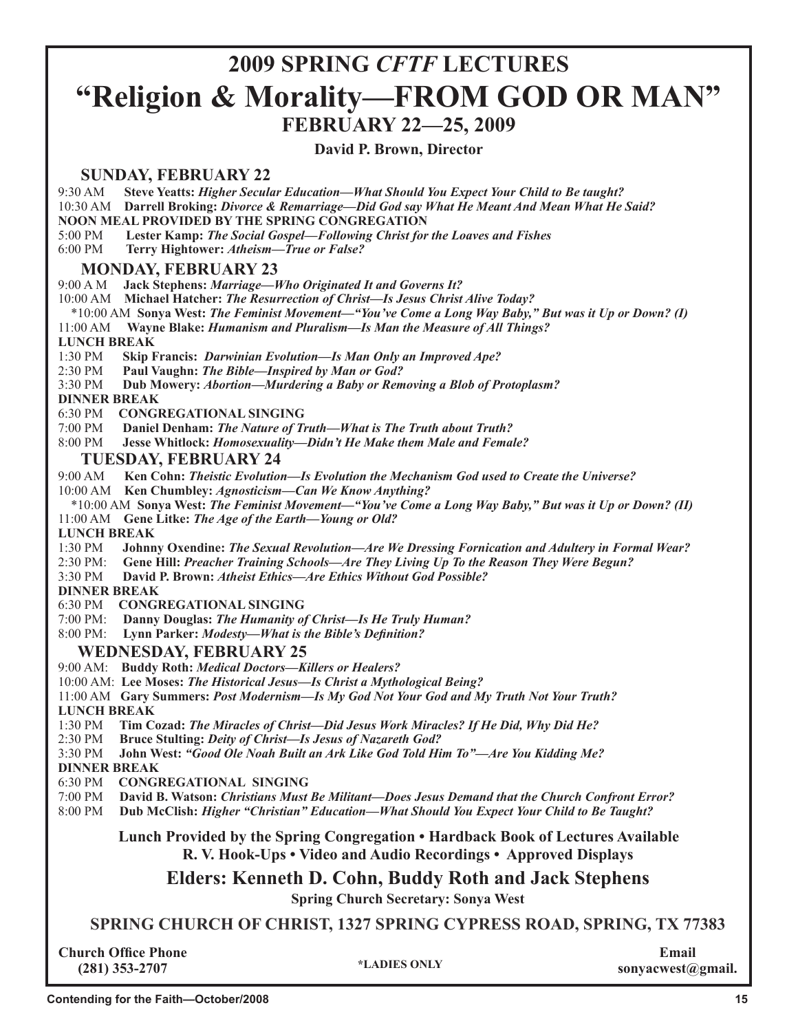## **2009 SPRING** *CFTF* **LECTURES "Religion & Morality—FROM GOD OR MAN" FEBRUARY 22—25, 2009**

**Terry M. Hightower**

#### **David P. Brown, Director**

#### **SUNDAY, FEBRUARY 22**

9:30 AM **Steve Yeatts:** *Higher Secular Education—What Should You Expect Your Child to Be taught?*

10:30 AM **Darrell Broking:** *Divorce & Remarriage—Did God say What He Meant And Mean What He Said?*

**NOON MEAL PROVIDED BY THE SPRING CONGREGATION**

5:00 PM **Lester Kamp:** *The Social Gospel—Following Christ for the Loaves and Fishes*

6:00 PM **Terry Hightower:** *Atheism—True or False?*

#### **MONDAY, FEBRUARY 23**

9:00 A M **Jack Stephens:** *Marriage—Who Originated It and Governs It?*

10:00 AM **Michael Hatcher:** *The Resurrection of Christ—Is Jesus Christ Alive Today?*

\*10:00 AM **Sonya West:** *The Feminist Movement—"You've Come a Long Way Baby," But was it Up or Down? (I)*

11:00 AM **Wayne Blake:** *Humanism and Pluralism—Is Man the Measure of All Things?*

#### **LUNCH BREAK**

1:30 PM **Skip Francis:** *Darwinian Evolution—Is Man Only an Improved Ape?*

2:30 PM **Paul Vaughn:** *The Bible—Inspired by Man or God?* 

3:30 PM **Dub Mowery:** *Abortion—Murdering a Baby or Removing a Blob of Protoplasm?*

#### **DINNER BREAK**

6:30 PM **CONGREGATIONAL SINGING**

- 7:00 PM **Daniel Denham:** *The Nature of Truth—What is The Truth about Truth?*
- 8:00 PM **Jesse Whitlock:** *Homosexuality—Didn't He Make them Male and Female?*

**TUESDAY, FEBRUARY 24**<br>9:00 AM Ken Cohn: *Theistic Evolution* 9:00 AM **Ken Cohn:** *Theistic Evolution—Is Evolution the Mechanism God used to Create the Universe?*

10:00 AM **Ken Chumbley:** *Agnosticism—Can We Know Anything?*

 \*10:00 AM **Sonya West:** *The Feminist Movement—"You've Come a Long Way Baby," But was it Up or Down? (II)* 11:00 AM **Gene Litke:** *The Age of the Earth—Young or Old?*

 **LUNCH BREAK**

- 1:30 PM **Johnny Oxendine:** *The Sexual Revolution—Are We Dressing Fornication and Adultery in Formal Wear?*
- 2:30 PM: **Gene Hill:** *Preacher Training Schools—Are They Living Up To the Reason They Were Begun?*

3:30 PM **David P. Brown:** *Atheist Ethics—Are Ethics Without God Possible?*

#### **DINNER BREAK**

6:30 PM **CONGREGATIONAL SINGING**

7:00 PM: **Danny Douglas:** *The Humanity of Christ—Is He Truly Human?*

8:00 PM: **Lynn Parker:** *Modesty—What is the Bible's Definition?*

#### **WEDNESDAY, FEBRUARY 25**

- 9:00 AM: **Buddy Roth:** *Medical Doctors—Killers or Healers?*
- 10:00 AM: **Lee Moses:** *The Historical Jesus—Is Christ a Mythological Being?*

11:00 AM **Gary Summers:** *Post Modernism—Is My God Not Your God and My Truth Not Your Truth?* 

- **LUNCH BREAK**
- 1:30 PM **Tim Cozad:** *The Miracles of Christ—Did Jesus Work Miracles? If He Did, Why Did He?*
- 2:30 PM **Bruce Stulting:** *Deity of Christ—Is Jesus of Nazareth God?*
- 3:30 PM **John West:** *"Good Ole Noah Built an Ark Like God Told Him To"—Are You Kidding Me?*

**DINNER BREAK**

- 6:30 PM **CONGREGATIONAL SINGING**
- 7:00 PM **David B. Watson:** *Christians Must Be Militant—Does Jesus Demand that the Church Confront Error?*

8:00 PM **Dub McClish:** *Higher "Christian" Education—What Should You Expect Your Child to Be Taught?* 

#### **Lunch Provided by the Spring Congregation • Hardback Book of Lectures Available R. V. Hook-Ups • Video and Audio Recordings • Approved Displays**

#### **Elders: Kenneth D. Cohn, Buddy Roth and Jack Stephens**

**Spring Church Secretary: Sonya West**

**SPRING CHURCH OF CHRIST, 1327 SPRING CYPRESS ROAD, SPRING, TX 77383**

**Church Office Phone (281) 353-2707**

**Email sonyacwest@gmail. \*LADIES ONLY**

**Paul Vaughn**